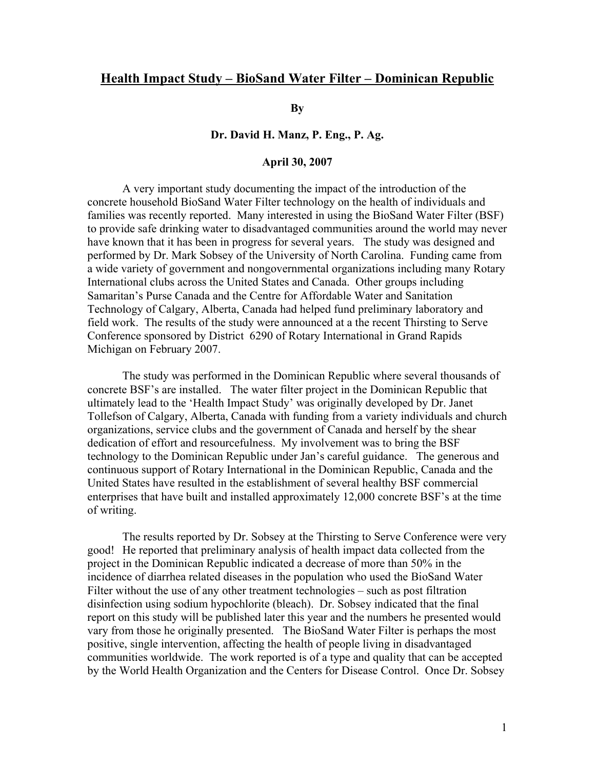# **Health Impact Study – BioSand Water Filter – Dominican Republic**

**By** 

### **Dr. David H. Manz, P. Eng., P. Ag.**

#### **April 30, 2007**

 A very important study documenting the impact of the introduction of the concrete household BioSand Water Filter technology on the health of individuals and families was recently reported. Many interested in using the BioSand Water Filter (BSF) to provide safe drinking water to disadvantaged communities around the world may never have known that it has been in progress for several years. The study was designed and performed by Dr. Mark Sobsey of the University of North Carolina. Funding came from a wide variety of government and nongovernmental organizations including many Rotary International clubs across the United States and Canada. Other groups including Samaritan's Purse Canada and the Centre for Affordable Water and Sanitation Technology of Calgary, Alberta, Canada had helped fund preliminary laboratory and field work. The results of the study were announced at a the recent Thirsting to Serve Conference sponsored by District 6290 of Rotary International in Grand Rapids Michigan on February 2007.

The study was performed in the Dominican Republic where several thousands of concrete BSF's are installed. The water filter project in the Dominican Republic that ultimately lead to the 'Health Impact Study' was originally developed by Dr. Janet Tollefson of Calgary, Alberta, Canada with funding from a variety individuals and church organizations, service clubs and the government of Canada and herself by the shear dedication of effort and resourcefulness. My involvement was to bring the BSF technology to the Dominican Republic under Jan's careful guidance. The generous and continuous support of Rotary International in the Dominican Republic, Canada and the United States have resulted in the establishment of several healthy BSF commercial enterprises that have built and installed approximately 12,000 concrete BSF's at the time of writing.

 The results reported by Dr. Sobsey at the Thirsting to Serve Conference were very good! He reported that preliminary analysis of health impact data collected from the project in the Dominican Republic indicated a decrease of more than 50% in the incidence of diarrhea related diseases in the population who used the BioSand Water Filter without the use of any other treatment technologies – such as post filtration disinfection using sodium hypochlorite (bleach). Dr. Sobsey indicated that the final report on this study will be published later this year and the numbers he presented would vary from those he originally presented. The BioSand Water Filter is perhaps the most positive, single intervention, affecting the health of people living in disadvantaged communities worldwide. The work reported is of a type and quality that can be accepted by the World Health Organization and the Centers for Disease Control. Once Dr. Sobsey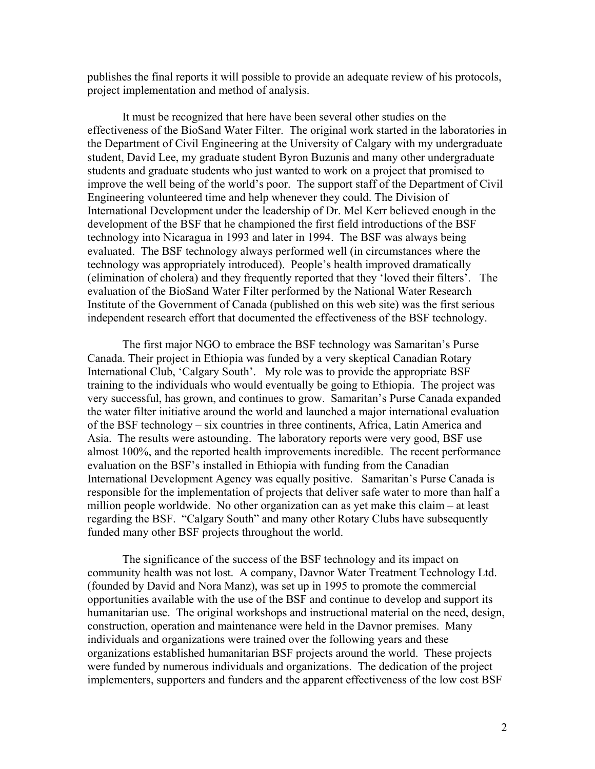publishes the final reports it will possible to provide an adequate review of his protocols, project implementation and method of analysis.

It must be recognized that here have been several other studies on the effectiveness of the BioSand Water Filter. The original work started in the laboratories in the Department of Civil Engineering at the University of Calgary with my undergraduate student, David Lee, my graduate student Byron Buzunis and many other undergraduate students and graduate students who just wanted to work on a project that promised to improve the well being of the world's poor. The support staff of the Department of Civil Engineering volunteered time and help whenever they could. The Division of International Development under the leadership of Dr. Mel Kerr believed enough in the development of the BSF that he championed the first field introductions of the BSF technology into Nicaragua in 1993 and later in 1994. The BSF was always being evaluated. The BSF technology always performed well (in circumstances where the technology was appropriately introduced). People's health improved dramatically (elimination of cholera) and they frequently reported that they 'loved their filters'. The evaluation of the BioSand Water Filter performed by the National Water Research Institute of the Government of Canada (published on this web site) was the first serious independent research effort that documented the effectiveness of the BSF technology.

The first major NGO to embrace the BSF technology was Samaritan's Purse Canada. Their project in Ethiopia was funded by a very skeptical Canadian Rotary International Club, 'Calgary South'. My role was to provide the appropriate BSF training to the individuals who would eventually be going to Ethiopia. The project was very successful, has grown, and continues to grow. Samaritan's Purse Canada expanded the water filter initiative around the world and launched a major international evaluation of the BSF technology – six countries in three continents, Africa, Latin America and Asia. The results were astounding. The laboratory reports were very good, BSF use almost 100%, and the reported health improvements incredible. The recent performance evaluation on the BSF's installed in Ethiopia with funding from the Canadian International Development Agency was equally positive. Samaritan's Purse Canada is responsible for the implementation of projects that deliver safe water to more than half a million people worldwide. No other organization can as yet make this claim – at least regarding the BSF. "Calgary South" and many other Rotary Clubs have subsequently funded many other BSF projects throughout the world.

The significance of the success of the BSF technology and its impact on community health was not lost. A company, Davnor Water Treatment Technology Ltd. (founded by David and Nora Manz), was set up in 1995 to promote the commercial opportunities available with the use of the BSF and continue to develop and support its humanitarian use. The original workshops and instructional material on the need, design, construction, operation and maintenance were held in the Davnor premises. Many individuals and organizations were trained over the following years and these organizations established humanitarian BSF projects around the world. These projects were funded by numerous individuals and organizations. The dedication of the project implementers, supporters and funders and the apparent effectiveness of the low cost BSF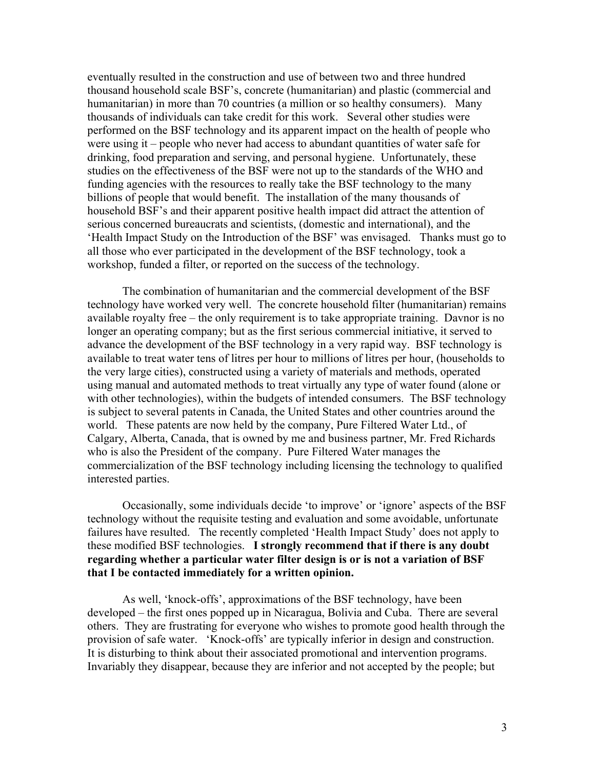eventually resulted in the construction and use of between two and three hundred thousand household scale BSF's, concrete (humanitarian) and plastic (commercial and humanitarian) in more than 70 countries (a million or so healthy consumers). Many thousands of individuals can take credit for this work. Several other studies were performed on the BSF technology and its apparent impact on the health of people who were using it – people who never had access to abundant quantities of water safe for drinking, food preparation and serving, and personal hygiene. Unfortunately, these studies on the effectiveness of the BSF were not up to the standards of the WHO and funding agencies with the resources to really take the BSF technology to the many billions of people that would benefit. The installation of the many thousands of household BSF's and their apparent positive health impact did attract the attention of serious concerned bureaucrats and scientists, (domestic and international), and the 'Health Impact Study on the Introduction of the BSF' was envisaged. Thanks must go to all those who ever participated in the development of the BSF technology, took a workshop, funded a filter, or reported on the success of the technology.

The combination of humanitarian and the commercial development of the BSF technology have worked very well. The concrete household filter (humanitarian) remains available royalty free – the only requirement is to take appropriate training. Davnor is no longer an operating company; but as the first serious commercial initiative, it served to advance the development of the BSF technology in a very rapid way. BSF technology is available to treat water tens of litres per hour to millions of litres per hour, (households to the very large cities), constructed using a variety of materials and methods, operated using manual and automated methods to treat virtually any type of water found (alone or with other technologies), within the budgets of intended consumers. The BSF technology is subject to several patents in Canada, the United States and other countries around the world. These patents are now held by the company, Pure Filtered Water Ltd., of Calgary, Alberta, Canada, that is owned by me and business partner, Mr. Fred Richards who is also the President of the company. Pure Filtered Water manages the commercialization of the BSF technology including licensing the technology to qualified interested parties.

Occasionally, some individuals decide 'to improve' or 'ignore' aspects of the BSF technology without the requisite testing and evaluation and some avoidable, unfortunate failures have resulted. The recently completed 'Health Impact Study' does not apply to these modified BSF technologies. **I strongly recommend that if there is any doubt regarding whether a particular water filter design is or is not a variation of BSF that I be contacted immediately for a written opinion.** 

As well, 'knock-offs', approximations of the BSF technology, have been developed – the first ones popped up in Nicaragua, Bolivia and Cuba. There are several others. They are frustrating for everyone who wishes to promote good health through the provision of safe water. 'Knock-offs' are typically inferior in design and construction. It is disturbing to think about their associated promotional and intervention programs. Invariably they disappear, because they are inferior and not accepted by the people; but